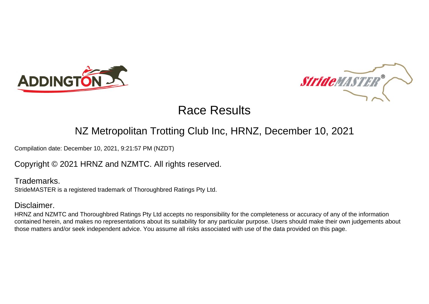



#### NZ Metropolitan Trotting Club Inc, HRNZ, December 10, 2021

Compilation date: December 10, 2021, 9:21:57 PM (NZDT)

#### Copyright © 2021 HRNZ and NZMTC. All rights reserved.

Trademarks. StrideMASTER is a registered trademark of Thoroughbred Ratings Pty Ltd.

#### Disclaimer.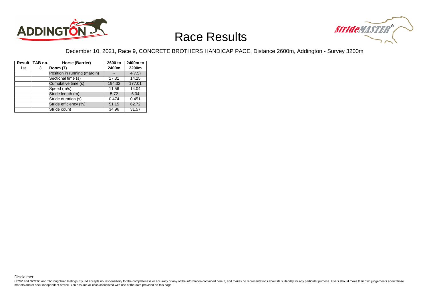



#### December 10, 2021, Race 9, CONCRETE BROTHERS HANDICAP PACE, Distance 2600m, Addington - Survey 3200m

|     | Result TAB no. | Horse (Barrier)              | 2600 to | 2400m to |
|-----|----------------|------------------------------|---------|----------|
| 1st | 3              | <b>Boom (7)</b>              | 2400m   | 2200m    |
|     |                | Position in running (margin) |         | 4(7.5)   |
|     |                | Sectional time (s)           | 17.31   | 14.25    |
|     |                | Cumulative time (s)          | 194.32  | 177.01   |
|     |                | Speed (m/s)                  | 11.56   | 14.04    |
|     |                | Stride length (m)            | 5.72    | 6.34     |
|     |                | Stride duration (s)          | 0.474   | 0.451    |
|     |                | Stride efficiency (%)        | 51.15   | 62.72    |
|     |                | Stride count                 | 34.96   | 31.57    |

Disclaimer.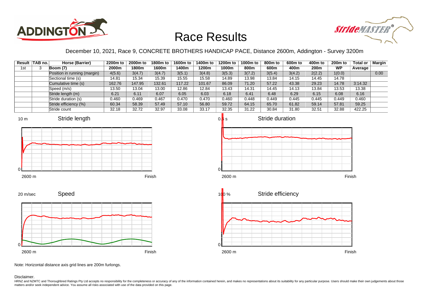



December 10, 2021, Race 9, CONCRETE BROTHERS HANDICAP PACE, Distance 2600m, Addington - Survey 3200m

|     | Result TAB no. | Horse (Barrier)              | 2200m to | 2000m to | 1800m to | 1600m to | 1400m to | 1200m to | 1000m to | 800m to | 600m to | 400m to          | <b>200m to</b> | Total or | <b>Margin</b> |
|-----|----------------|------------------------------|----------|----------|----------|----------|----------|----------|----------|---------|---------|------------------|----------------|----------|---------------|
| 1st |                | Boom (7)                     | 2000m    | 1800m    | 1600m    | l 400m   | 1200m    | 1000m    | 800m     | 600m    | 400m    | 200 <sub>m</sub> | <b>WP</b>      | Average  |               |
|     |                | Position in running (margin) | 4(5.6)   | 3(4.7)   | 3(4.7)   | 3(5.1)   | 3(4.8)   | 3(5.3)   | 3(7.2)   | 3(5.4)  | 3(4.2)  | 2(2.2)           | 1(0.0)         |          | 0.00          |
|     |                | Sectional time (s)           | 14.81    | 15.34    | 15.39    | 15.55    | 15.58    | 14.89    | 13.98    | 13.84   | 14.15   | 14.45            | 14.78          |          |               |
|     |                | Cumulative time (s)          | 162.76   | 147.95   | 132.61   | 117.22   | 101.67   | 86.09    | 71.20    | 57.22   | 43.38   | 29.23            | 14.78          | 3:14.32  |               |
|     |                | Speed (m/s)                  | 13.50    | 13.04    | 13.00    | 12.86    | 12.84    | 13.43    | 14.31    | 14.45   | 14.13   | 13.84            | 13.53          | 13.38    |               |
|     |                | Stride length (m)            | 6.21     | 6.11     | 6.07     | 6.05     | 6.03     | 6.18     | 6.41     | 6.48    | 6.29    | 6.15             | 6.08           | 6.16     |               |
|     |                | Stride duration (s)          | 0.460    | 0.469    | 0.467    | 0.470    | 0.470    | 0.460    | 0.448    | 0.449   | 0.445   | 0.445            | 0.449          | 0.460    |               |
|     |                | Stride efficiency (%)        | 60.34    | 58.39    | 57.49    | 57.10    | 56.80    | 59.72    | 64.15    | 65.70   | 61.82   | 59.14            | 57.81          | 59.25    |               |
|     |                | Stride count                 | 32.18    | 32.72    | 32.97    | 33.08    | 33.17    | 32.35    | 31.22    | 30.84   | 31.80   | 32.51            | 32.88          | 422.25   |               |













Note: Horizontal distance axis grid lines are 200m furlongs.

Disclaimer.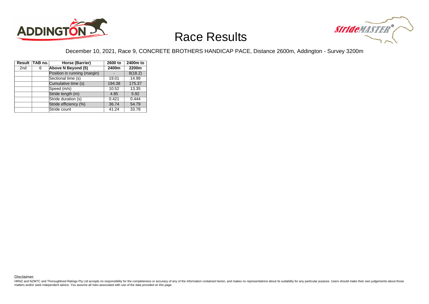



#### December 10, 2021, Race 9, CONCRETE BROTHERS HANDICAP PACE, Distance 2600m, Addington - Survey 3200m

|                 | Result TAB no. | Horse (Barrier)              | 2600 to | 2400m to |
|-----------------|----------------|------------------------------|---------|----------|
| 2 <sub>nd</sub> | 6              | Above N Beyond (5)           | 2400m   | 2200m    |
|                 |                | Position in running (margin) |         | 8(18.2)  |
|                 |                | Sectional time (s)           | 19.01   | 14.98    |
|                 |                | Cumulative time (s)          | 194.38  | 175.37   |
|                 |                | Speed (m/s)                  | 10.52   | 13.35    |
|                 |                | Stride length (m)            | 4.85    | 5.92     |
|                 |                | Stride duration (s)          | 0.421   | 0.444    |
|                 |                | Stride efficiency (%)        | 36.74   | 54.79    |
|                 |                | Stride count                 | 41.24   | 33.78    |

Disclaimer.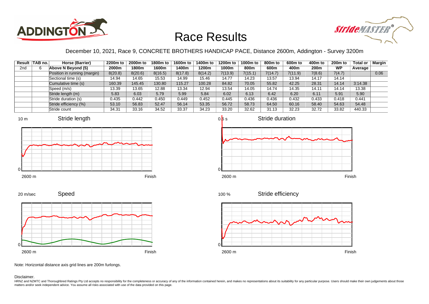



#### December 10, 2021, Race 9, CONCRETE BROTHERS HANDICAP PACE, Distance 2600m, Addington - Survey 3200m

|                 | Result TAB no. | Horse (Barrier)              | 2200m to | 2000m to | 1800m to | 1600m to | 1400m to | 1200m to | 1000m to | 800m to | 600m to | 400m to | 200 <sub>m</sub> to | Total or | Margin |
|-----------------|----------------|------------------------------|----------|----------|----------|----------|----------|----------|----------|---------|---------|---------|---------------------|----------|--------|
| 2 <sub>nd</sub> |                | Above N Beyond (5)           | 2000m    | 1800m    | 1600m    | 400m     | 1200m    | 1000m    | 800m     | 600m    | 400m    | 200m    | <b>WP</b>           | Average  |        |
|                 |                | Position in running (margin) | 8(20.8)  | 8(20.6)  | 8(16.5)  | 8(17.8)  | 8(14.2)  | 7(13.9)  | 7(15.1)  | 7(14.7) | 7(11.9) | 7(8.6)  | 7(4.7)              |          | 0.06   |
|                 |                | Sectional time (s)           | 14.94    | 14.65    | 15.53    | 14.99    | 15.46    | 14.77    | 14.23    | 13.57   | 13.94   | 14.17   | 14.14               |          |        |
|                 |                | Cumulative time (s)          | 160.39   | 145.45   | 130.80   | 115.27   | 100.28   | 84.82    | 70.05    | 55.82   | 42.25   | 28.31   | 14.14               | 3:14.38  |        |
|                 |                | Speed (m/s)                  | 13.39    | 13.65    | 12.88    | 13.34    | 12.94    | 13.54    | 14.05    | 14.74   | 14.35   | 14.11   | 14.14               | 13.38    |        |
|                 |                | Stride length (m)            | 5.83     | 6.03     | 5.79     | 5.99     | 5.84     | 6.02     | 6.13     | 6.42    | 6.20    | 6.11    | 5.91                | 5.90     |        |
|                 |                | Stride duration (s)          | 0.435    | 0.442    | 0.450    | 0.449    | 0.452    | 0.445    | 0.436    | 0.436   | 0.432   | 0.433   | 0.418               | 0.441    |        |
|                 |                | Stride efficiency (%)        | 53.10    | 56.83    | 52.47    | 56.14    | 53.35    | 56.72    | 58.73    | 64.50   | 60.16   | 58.40   | 54.63               | 54.48    |        |
|                 |                | Stride count                 | 34.31    | 33.16    | 34.52    | 33.37    | 34.23    | 33.20    | 32.62    | 31.13   | 32.23   | 32.72   | 33.82               | 440.33   |        |











Note: Horizontal distance axis grid lines are 200m furlongs.

Disclaimer.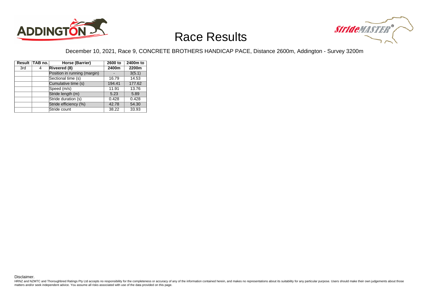



#### December 10, 2021, Race 9, CONCRETE BROTHERS HANDICAP PACE, Distance 2600m, Addington - Survey 3200m

|     | Result TAB no. | Horse (Barrier)              | 2600 to | 2400m to |
|-----|----------------|------------------------------|---------|----------|
| 3rd | 4              | Riveered (8)                 | 2400m   | 2200m    |
|     |                | Position in running (margin) |         | 3(5.1)   |
|     |                | Sectional time (s)           | 16.79   | 14.53    |
|     |                | Cumulative time (s)          | 194.41  | 177.62   |
|     |                | Speed (m/s)                  | 11.91   | 13.76    |
|     |                | Stride length (m)            | 5.23    | 5.89     |
|     |                | Stride duration (s)          | 0.428   | 0.428    |
|     |                | Stride efficiency (%)        | 42.78   | 54.30    |
|     |                | Stride count                 | 38.22   | 33.93    |

Disclaimer.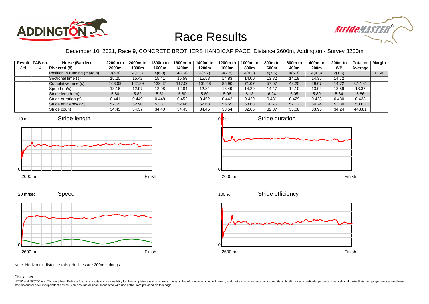



December 10, 2021, Race 9, CONCRETE BROTHERS HANDICAP PACE, Distance 2600m, Addington - Survey 3200m

|     | Result TAB no. | Horse (Barrier)              | 2200m to | 2000m to | 1800m to | 1600m to | 1400m to | 1200m to | 1000m to | 800m to | 600m to | 400m to | <b>200m to</b> | Total or | <b>Margin</b> |
|-----|----------------|------------------------------|----------|----------|----------|----------|----------|----------|----------|---------|---------|---------|----------------|----------|---------------|
| 3rd |                | Riveered (8)                 | 2000m    | 1800m    | 1600m    | l 400m   | 1200m    | 1000m    | 800m     | 600m    | 400m    | 200m    | <b>WP</b>      | Average  |               |
|     |                | Position in running (margin) | 3(4.9)   | 4(6.3)   | 4(6.8)   | 4(7.4)   | 4(7.2)   | 4(7.8)   | 4(9.3)   | 4(7.6)  | 4(6.3)  | 4(4.3)  | 2(1.6)         |          | 0.50          |
|     |                | Sectional time (s)           | 15.20    | 15.42    | 15.41    | 15.58    | 15.58    | 14.83    | 14.00    | 13.82   | 14.18   | 14.35   | 14.72          |          |               |
|     |                | Cumulative time (s)          | 163.09   | 147.89   | 132.47   | 117.06   | 101.48   | 85.90    | 71.07    | 57.07   | 43.25   | 29.07   | 14.72          | 3:14.41  |               |
|     |                | Speed (m/s)                  | 13.16    | 12.97    | 12.98    | 12.84    | 12.84    | 13.49    | 14.29    | 14.47   | 14.10   | 13.94   | 13.59          | 13.37    |               |
|     |                | Stride length (m)            | 5.80     | 5.82     | 5.81     | 5.80     | 5.80     | 5.96     | 6.13     | 6.24    | 6.05    | 5.89    | 5.84           | 5.86     |               |
|     |                | Stride duration (s)          | 0.441    | 0.449    | 0.448    | 0.452    | 0.452    | 0.442    | 0.429    | 0.431   | 0.429   | 0.423   | 0.430          | 0.438    |               |
|     |                | Stride efficiency (%)        | 52.65    | 52.90    | 52.81    | 52.66    | 52.63    | 55.55    | 58.63    | 60.76   | 57.12   | 54.24   | 53.30          | 53.63    |               |
|     |                | Stride count                 | 34.45    | 34.37    | 34.40    | 34.45    | 34.46    | 33.54    | 32.65    | 32.07   | 33.08   | 33.95   | 34.24          | 443.81   |               |









Speed









Note: Horizontal distance axis grid lines are 200m furlongs.

Disclaimer.

20 m/sec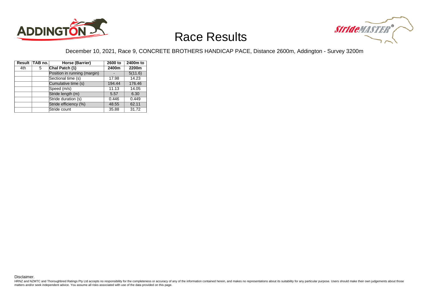



#### December 10, 2021, Race 9, CONCRETE BROTHERS HANDICAP PACE, Distance 2600m, Addington - Survey 3200m

|     | Result TAB no. | Horse (Barrier)              | 2600 to | 2400m to |
|-----|----------------|------------------------------|---------|----------|
| 4th | 5              | Chal Patch (1)               | 2400m   | 2200m    |
|     |                | Position in running (margin) |         | 5(11.6)  |
|     |                | Sectional time (s)           | 17.98   | 14.23    |
|     |                | Cumulative time (s)          | 194.44  | 176.46   |
|     |                | Speed (m/s)                  | 11.13   | 14.05    |
|     |                | Stride length (m)            | 5.57    | 6.30     |
|     |                | Stride duration (s)          | 0.446   | 0.449    |
|     |                | Stride efficiency (%)        | 48.55   | 62.11    |
|     |                | Stride count                 | 35.88   | 31.72    |

Disclaimer.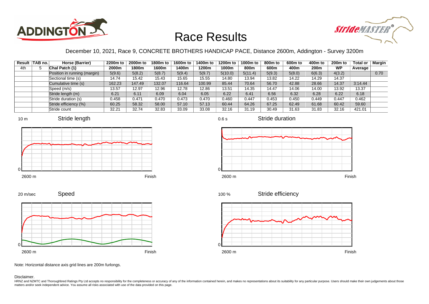



#### December 10, 2021, Race 9, CONCRETE BROTHERS HANDICAP PACE, Distance 2600m, Addington - Survey 3200m

|     | Result TAB no. | Horse (Barrier)              | 2200m to | 2000m to | 1800m to | 1600m to | 1400m to | 1200m to | 1000m to | 800m to | 600m to | 400m to          | $200m$ to | Total or | Margin |
|-----|----------------|------------------------------|----------|----------|----------|----------|----------|----------|----------|---------|---------|------------------|-----------|----------|--------|
| 4th |                | Chal Patch (1)               | 2000m    | 1800m    | 1600m    | l 400m   | 1200m    | 1000m    | 800m     | 600m    | 400m    | 200 <sub>m</sub> | <b>WP</b> | Average  |        |
|     |                | Position in running (margin) | 5(9.6)   | 5(8.2)   | 5(8.7)   | 5(9.4)   | 5(9.7)   | 5(10.0)  | 5(11.4)  | 5(9.3)  | 5(8.0)  | 6(6.3)           | 4(3.2)    |          | 0.70   |
|     |                | Sectional time (s)           | 14.74    | 15.42    | 15.43    | 15.65    | 15.55    | 14.80    | 13.94    | 13.82   | 14.22   | 14.29            | 14.37     |          |        |
|     |                | Cumulative time (s)          | 162.23   | 147.49   | 132.07   | 116.64   | 100.99   | 85.44    | 70.64    | 56.70   | 42.88   | 28.66            | 14.37     | 3:14.44  |        |
|     |                | Speed (m/s)                  | 13.57    | 12.97    | 12.96    | 12.78    | 12.86    | 13.51    | 14.35    | 14.47   | 14.06   | 14.00            | 13.92     | 13.37    |        |
|     |                | Stride length (m)            | 6.21     | 6.11     | 6.09     | 6.04     | 6.05     | 6.22     | 6.41     | 6.56    | 6.32    | 6.28             | 6.22      | 6.18     |        |
|     |                | Stride duration (s)          | 0.458    | 0.471    | 0.470    | 0.473    | 0.470    | 0.460    | 0.447    | 0.453   | 0.450   | 0.449            | 0.447     | 0.462    |        |
|     |                | Stride efficiency (%)        | 60.25    | 58.32    | 58.00    | 57.10    | 57.13    | 60.44    | 64.26    | 67.25   | 62.49   | 61.68            | 60.42     | 59.60    |        |
|     |                | Stride count                 | 32.21    | 32.74    | 32.83    | 33.09    | 33.08    | 32.16    | 31.19    | 30.49   | 31.63   | 31.83            | 32.16     | 421.01   |        |









Stride duration













Note: Horizontal distance axis grid lines are 200m furlongs.

Disclaimer.

HRNZ and NZMTC and Thoroughbred Ratings Pty Ltd accepts no responsibility for the completeness or accuracy of any of the information contained herein, and makes no representations about its suitability for any particular p matters and/or seek independent advice. You assume all risks associated with use of the data provided on this page.

0

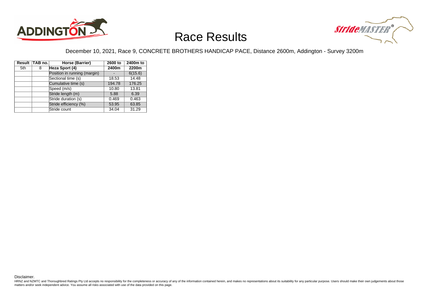



#### December 10, 2021, Race 9, CONCRETE BROTHERS HANDICAP PACE, Distance 2600m, Addington - Survey 3200m

|     | Result TAB no. | Horse (Barrier)              | 2600 to | 2400m to |
|-----|----------------|------------------------------|---------|----------|
| 5th | 8              | Heza Sport (4)               | 2400m   | 2200m    |
|     |                | Position in running (margin) |         | 6(15.6)  |
|     |                | Sectional time (s)           | 18.53   | 14.48    |
|     |                | Cumulative time (s)          | 194.78  | 176.25   |
|     |                | Speed (m/s)                  | 10.80   | 13.81    |
|     |                | Stride length (m)            | 5.88    | 6.39     |
|     |                | Stride duration (s)          | 0.469   | 0.463    |
|     |                | Stride efficiency (%)        | 53.95   | 63.85    |
|     |                | Stride count                 | 34.04   | 31.29    |

Disclaimer.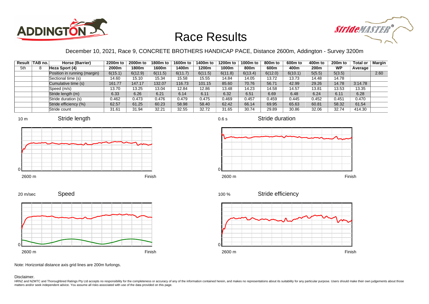



#### December 10, 2021, Race 9, CONCRETE BROTHERS HANDICAP PACE, Distance 2600m, Addington - Survey 3200m

|     | Result TAB no. | Horse (Barrier)              | 2200m to | 2000m to | 1800m to | 1600m to | 1400m to | 1200m to | 1000m to | 800m to | 600m to | 400m to          | $200m$ to | Total or | Margin |
|-----|----------------|------------------------------|----------|----------|----------|----------|----------|----------|----------|---------|---------|------------------|-----------|----------|--------|
| 5th |                | Heza Sport (4)               | 2000m    | 1800m    | 1600m    | 1400m    | 1200m    | 1000m    | 800m     | 600m    | 400m    | 200 <sub>m</sub> | <b>WP</b> | Average  |        |
|     |                | Position in running (margin) | 6(15.1)  | 6(12.9)  | 6(11.5)  | 6(11.7)  | 6(11.5)  | 6(11.8)  | 6(13.4)  | 6(12.0) | 6(10.1) | 5(5.5)           | 5(3.5)    |          | 2.60   |
|     |                | Sectional time (s)           | 14.60    | 15.10    | 15.34    | 15.58    | 15.55    | 14.84    | 14.05    | 13.72   | 13.73   | 14.48            | 14.78     |          |        |
|     |                | Cumulative time (s)          | 161.77   | 147.17   | 132.07   | 116.73   | 101.15   | 85.60    | 70.76    | 56.71   | 42.99   | 29.26            | 14.78     | 3:14.78  |        |
|     |                | Speed (m/s)                  | 13.70    | 13.25    | 13.04    | 12.84    | 12.86    | 13.48    | 14.23    | 14.58   | 14.57   | 13.81            | 13.53     | 13.35    |        |
|     |                | Stride length (m)            | 6.33     | 6.26     | 6.21     | 6.14     | 6.11     | 6.32     | 6.51     | 6.69    | 6.48    | 6.24             | 6.11      | 6.28     |        |
|     |                | Stride duration (s)          | 0.462    | 0.473    | 0.476    | 0.479    | 0.475    | 0.469    | 0.457    | 0.459   | 0.445   | 0.452            | 0.451     | 0.470    |        |
|     |                | Stride efficiency (%)        | 62.57    | 61.25    | 60.23    | 58.98    | 58.40    | 62.42    | 66.14    | 69.95   | 65.63   | 60.81            | 58.32     | 61.54    |        |
|     |                | Stride count                 | 31.61    | 31.94    | 32.21    | 32.55    | 32.72    | 31.65    | 30.74    | 29.89   | 30.86   | 32.06            | 32.74     | 414.30   |        |







0.6 s



Stride efficiency 100 %



Speed 20 m/sec



Note: Horizontal distance axis grid lines are 200m furlongs.

#### Disclaimer.

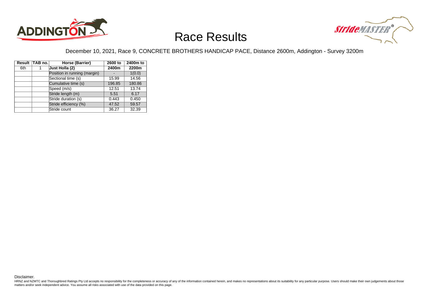



#### December 10, 2021, Race 9, CONCRETE BROTHERS HANDICAP PACE, Distance 2600m, Addington - Survey 3200m

|     | Result TAB no. | Horse (Barrier)              | 2600 to | 2400m to |
|-----|----------------|------------------------------|---------|----------|
| 6th |                | Just Holla (2)               | 2400m   | 2200m    |
|     |                | Position in running (margin) |         | 1(0.0)   |
|     |                | Sectional time (s)           | 15.99   | 14.56    |
|     |                | Cumulative time (s)          | 196.85  | 180.86   |
|     |                | Speed (m/s)                  | 12.51   | 13.74    |
|     |                | Stride length (m)            | 5.51    | 6.17     |
|     |                | Stride duration (s)          | 0.443   | 0.450    |
|     |                | Stride efficiency (%)        | 47.52   | 59.57    |
|     |                | Stride count                 | 36.27   | 32.39    |

Disclaimer.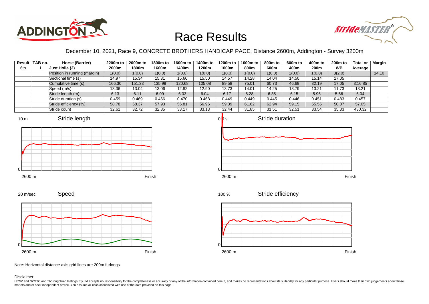



December 10, 2021, Race 9, CONCRETE BROTHERS HANDICAP PACE, Distance 2600m, Addington - Survey 3200m

|     | Result   TAB no. | Horse (Barrier)              | 2200m to | 2000m to | 1800m to | 1600m to | 1400m to | 1200m to | 1000m to | 800m to | 600m to | 400m to | <b>200m to</b> | <b>Total or</b> | Margin |
|-----|------------------|------------------------------|----------|----------|----------|----------|----------|----------|----------|---------|---------|---------|----------------|-----------------|--------|
| 6th |                  | <b>Just Holla (2)</b>        | 2000m    | 1800m    | 1600m    | 400m     | 1200m    | 1000m    | 800m     | 600m    | 400m    | 200m    | <b>WP</b>      | Average         |        |
|     |                  | Position in running (margin) | 1(0.0)   | 1(0.0)   | 1(0.0)   | 1(0.0)   | 1(0.0)   | 1(0.0)   | 1(0.0)   | 1(0.0)  | 1(0.0)  | 1(0.0)  | 3(2.0)         |                 | 14.10  |
|     |                  | Sectional time (s)           | 14.97    | 15.34    | 15.31    | 15.60    | 15.50    | 14.57    | 14.28    | 14.04   | 14.50   | 15.14   | 17.05          |                 |        |
|     |                  | Cumulative time (s)          | 166.30   | 151.33   | 135.99   | 120.68   | 105.08   | 89.58    | 75.01    | 60.73   | 46.69   | 32.19   | 17.05          | 3:16.85         |        |
|     |                  | Speed (m/s)                  | 13.36    | 13.04    | 13.06    | 12.82    | 12.90    | 13.73    | 14.01    | 14.25   | 13.79   | 13.21   | 11.73          | 13.21           |        |
|     |                  | Stride length (m)            | 6.13     | 6.11     | 6.09     | 6.03     | 6.04     | 6.17     | 6.28     | 6.35    | 6.15    | 5.96    | 5.66           | 6.04            |        |
|     |                  | Stride duration (s)          | 0.459    | 0.469    | 0.466    | 0.470    | 0.468    | 0.449    | 0.449    | 0.445   | 0.446   | 0.451   | 0.483          | 0.457           |        |
|     |                  | Stride efficiency (%)        | 58.78    | 58.37    | 57.93    | 56.81    | 56.96    | 59.39    | 61.62    | 62.94   | 59.15   | 55.55   | 50.07          | 57.05           |        |
|     |                  | Stride count                 | 32.61    | 32.72    | 32.85    | 33.17    | 33.13    | 32.44    | 31.85    | 31.51   | 32.51   | 33.54   | 35.33          | 430.32          |        |













Note: Horizontal distance axis grid lines are 200m furlongs.

#### Disclaimer.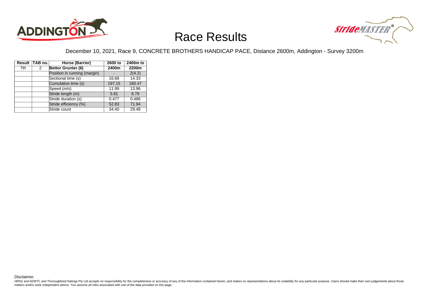



#### December 10, 2021, Race 9, CONCRETE BROTHERS HANDICAP PACE, Distance 2600m, Addington - Survey 3200m

|     | Result TAB no. | Horse (Barrier)              | 2600 to | 2400m to |
|-----|----------------|------------------------------|---------|----------|
| 7th | 2              | Bettor Grunter (6)           | 2400m   | 2200m    |
|     |                | Position in running (margin) |         | 2(4.2)   |
|     |                | Sectional time (s)           | 16.68   | 14.33    |
|     |                | Cumulative time (s)          | 197.15  | 180.47   |
|     |                | Speed (m/s)                  | 11.99   | 13.96    |
|     |                | Stride length (m)            | 5.81    | 6.79     |
|     |                | Stride duration (s)          | 0.477   | 0.486    |
|     |                | Stride efficiency (%)        | 52.83   | 71.94    |
|     |                | Stride count                 | 34.40   | 29.48    |

Disclaimer.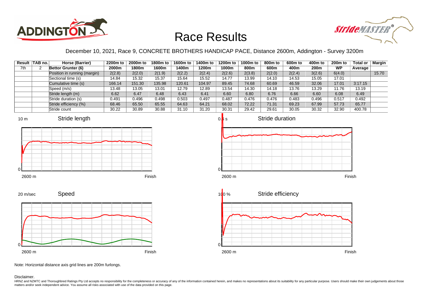



December 10, 2021, Race 9, CONCRETE BROTHERS HANDICAP PACE, Distance 2600m, Addington - Survey 3200m

|     | Result TAB no. | Horse (Barrier)              | 2200m to | 2000m to | 1800m to | 1600m to | 1400m to | 1200m to | 1000m to | 800m to | 600m to | 400m to | <b>200m to</b> | <b>Total or</b> | <b>Margin</b> |
|-----|----------------|------------------------------|----------|----------|----------|----------|----------|----------|----------|---------|---------|---------|----------------|-----------------|---------------|
| 7th |                | Bettor Grunter (6)           | 2000m    | 1800m    | 1600m    | 1400m    | 1200m    | 1000m    | 800m     | 600m    | 400m    | 200m    | <b>WP</b>      | Average         |               |
|     |                | Position in running (margin) | 2(2.8)   | 2(2.0)   | 2(1.9)   | 2(2.2)   | 2(2.4)   | 2(2.6)   | 2(3.8)   | 2(2.0)  | 2(2.4)  | 3(2.6)  | 6(4.0)         |                 | 15.70         |
|     |                | Sectional time (s)           | 14.84    | 15.32    | 15.37    | 15.64    | 15.52    | 14.77    | 13.99    | 14.10   | 14.53   | 15.05   | 17.01          |                 |               |
|     |                | Cumulative time (s)          | 166.14   | 151.30   | 135.98   | 120.61   | 104.97   | 89.45    | 74.68    | 60.69   | 46.59   | 32.06   | 17.01          | 3:17.15         |               |
|     |                | Speed (m/s)                  | 13.48    | 13.05    | 13.01    | 12.79    | 12.89    | 13.54    | 14.30    | 14.18   | 13.76   | 13.29   | 11.76          | 13.19           |               |
|     |                | Stride length (m)            | 6.62     | 6.47     | 6.48     | 6.43     | 6.41     | 6.60     | 6.80     | 6.76    | 6.66    | 6.60    | 6.08           | 6.49            |               |
|     |                | Stride duration (s)          | 0.491    | 0.496    | 0.498    | 0.503    | 0.497    | 0.487    | 0.476    | 0.476   | 0.483   | 0.496   | 0.517          | 0.492           |               |
|     |                | Stride efficiency (%)        | 68.46    | 65.50    | 65.55    | 64.63    | 64.21    | 68.02    | 72.22    | 71.31   | 69.23   | 67.99   | 57.73          | 65.77           |               |
|     |                | Stride count                 | 30.22    | 30.89    | 30.88    | 31.10    | 31.20    | 30.31    | 29.42    | 29.61   | 30.05   | 30.32   | 32.90          | 400.78          |               |



2600 m Finish

 $\mathcal{C}$ 







Note: Horizontal distance axis grid lines are 200m furlongs.

Disclaimer.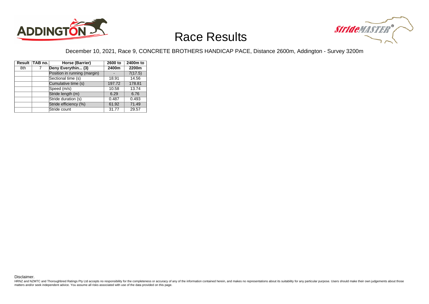



#### December 10, 2021, Race 9, CONCRETE BROTHERS HANDICAP PACE, Distance 2600m, Addington - Survey 3200m

|     | Result TAB no. | Horse (Barrier)              | 2600 to | 2400m to |
|-----|----------------|------------------------------|---------|----------|
| 8th | 7              | Deny Everythin (3)           | 2400m   | 2200m    |
|     |                | Position in running (margin) |         | 7(17.5)  |
|     |                | Sectional time (s)           | 18.91   | 14.56    |
|     |                | Cumulative time (s)          | 197.72  | 178.81   |
|     |                | Speed (m/s)                  | 10.58   | 13.74    |
|     |                | Stride length (m)            | 6.29    | 6.76     |
|     |                | Stride duration (s)          | 0.487   | 0.493    |
|     |                | Stride efficiency (%)        | 61.92   | 71.49    |
|     |                | Stride count                 | 31.77   | 29.57    |

Disclaimer.